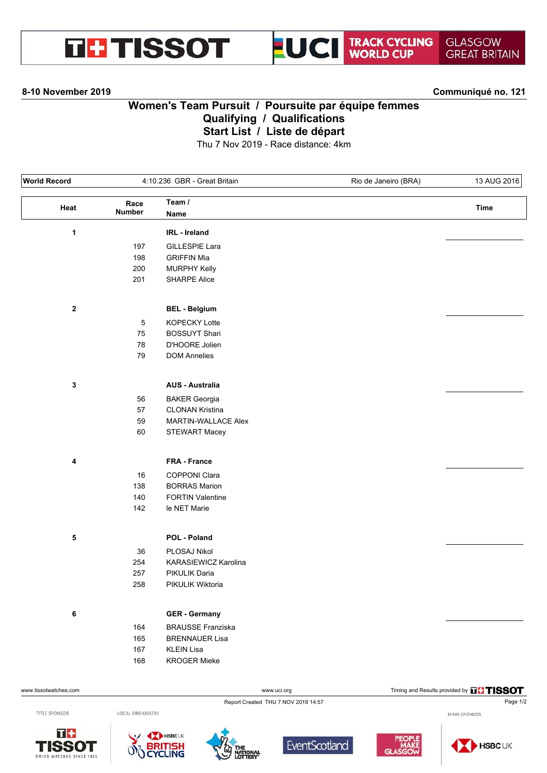



### **8-10 November 2019 Communiqué no. 121**

# **Women's Team Pursuit / Poursuite par équipe femmes Qualifying / Qualifications Start List / Liste de départ**

Thu 7 Nov 2019 - Race distance: 4km

| <b>World Record</b>   |               | 4:10.236 GBR - Great Britain |             | Rio de Janeiro (BRA) | 13 AUG 2016                            |
|-----------------------|---------------|------------------------------|-------------|----------------------|----------------------------------------|
| Heat                  | Race          | Team /                       |             |                      | <b>Time</b>                            |
|                       | <b>Number</b> | Name                         |             |                      |                                        |
| $\mathbf{1}$          |               | IRL - Ireland                |             |                      |                                        |
|                       | 197           | GILLESPIE Lara               |             |                      |                                        |
|                       | 198           | <b>GRIFFIN Mia</b>           |             |                      |                                        |
|                       | 200           | <b>MURPHY Kelly</b>          |             |                      |                                        |
|                       | 201           | <b>SHARPE Alice</b>          |             |                      |                                        |
| $\mathbf 2$           |               | <b>BEL - Belgium</b>         |             |                      |                                        |
|                       | 5             | KOPECKY Lotte                |             |                      |                                        |
|                       | ${\bf 75}$    | <b>BOSSUYT Shari</b>         |             |                      |                                        |
|                       | 78            | D'HOORE Jolien               |             |                      |                                        |
|                       | 79            | <b>DOM Annelies</b>          |             |                      |                                        |
|                       |               |                              |             |                      |                                        |
| $\mathbf 3$           |               | <b>AUS - Australia</b>       |             |                      |                                        |
|                       | 56            | <b>BAKER Georgia</b>         |             |                      |                                        |
|                       | 57            | <b>CLONAN Kristina</b>       |             |                      |                                        |
|                       | 59            | MARTIN-WALLACE Alex          |             |                      |                                        |
|                       | 60            | <b>STEWART Macey</b>         |             |                      |                                        |
| 4                     |               | FRA - France                 |             |                      |                                        |
|                       | 16            | COPPONI Clara                |             |                      |                                        |
|                       | 138           | <b>BORRAS Marion</b>         |             |                      |                                        |
|                       | 140           | <b>FORTIN Valentine</b>      |             |                      |                                        |
|                       | 142           | le NET Marie                 |             |                      |                                        |
| ${\bf 5}$             |               | POL - Poland                 |             |                      |                                        |
|                       |               |                              |             |                      |                                        |
|                       | $36\,$        | PLOSAJ Nikol                 |             |                      |                                        |
|                       | 254           | KARASIEWICZ Karolina         |             |                      |                                        |
|                       | 257           | PIKULIK Daria                |             |                      |                                        |
|                       | 258           | PIKULIK Wiktoria             |             |                      |                                        |
| 6                     |               | <b>GER - Germany</b>         |             |                      |                                        |
|                       | 164           | <b>BRAUSSE Franziska</b>     |             |                      |                                        |
|                       | 165           | <b>BRENNAUER Lisa</b>        |             |                      |                                        |
|                       | 167           | <b>KLEIN Lisa</b>            |             |                      |                                        |
|                       | 168           | <b>KROGER Mieke</b>          |             |                      |                                        |
| www.tissotwatches.com |               |                              | www.uci.org |                      | Timing and Results provided by THISSOT |

TITLE SPONSOR

 $T +$ 

LOCAL ORGANISERS

**BRITISH** 









Report Created THU 7 NOV 2019 14:57 Page 1/2



MAIN SPONSOR